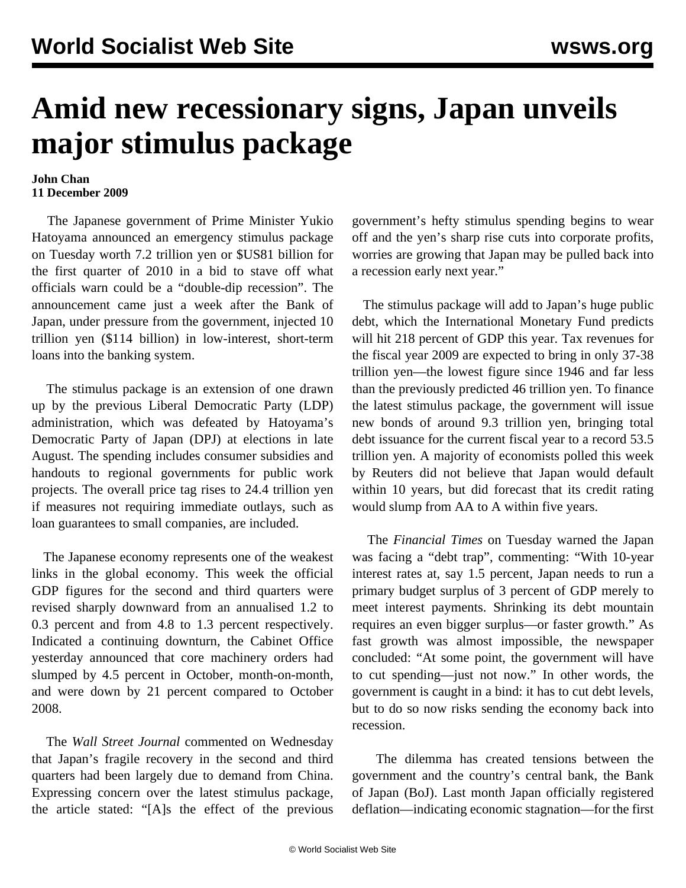## **Amid new recessionary signs, Japan unveils major stimulus package**

## **John Chan 11 December 2009**

 The Japanese government of Prime Minister Yukio Hatoyama announced an emergency stimulus package on Tuesday worth 7.2 trillion yen or \$US81 billion for the first quarter of 2010 in a bid to stave off what officials warn could be a "double-dip recession". The announcement came just a week after the Bank of Japan, under pressure from the government, injected 10 trillion yen (\$114 billion) in low-interest, short-term loans into the banking system.

 The stimulus package is an extension of one drawn up by the previous Liberal Democratic Party (LDP) administration, which was defeated by Hatoyama's Democratic Party of Japan (DPJ) at elections in late August. The spending includes consumer subsidies and handouts to regional governments for public work projects. The overall price tag rises to 24.4 trillion yen if measures not requiring immediate outlays, such as loan guarantees to small companies, are included.

 The Japanese economy represents one of the weakest links in the global economy. This week the official GDP figures for the second and third quarters were revised sharply downward from an annualised 1.2 to 0.3 percent and from 4.8 to 1.3 percent respectively. Indicated a continuing downturn, the Cabinet Office yesterday announced that core machinery orders had slumped by 4.5 percent in October, month-on-month, and were down by 21 percent compared to October 2008.

 The *Wall Street Journal* commented on Wednesday that Japan's fragile recovery in the second and third quarters had been largely due to demand from China. Expressing concern over the latest stimulus package, the article stated: "[A]s the effect of the previous

government's hefty stimulus spending begins to wear off and the yen's sharp rise cuts into corporate profits, worries are growing that Japan may be pulled back into a recession early next year."

 The stimulus package will add to Japan's huge public debt, which the International Monetary Fund predicts will hit 218 percent of GDP this year. Tax revenues for the fiscal year 2009 are expected to bring in only 37-38 trillion yen—the lowest figure since 1946 and far less than the previously predicted 46 trillion yen. To finance the latest stimulus package, the government will issue new bonds of around 9.3 trillion yen, bringing total debt issuance for the current fiscal year to a record 53.5 trillion yen. A majority of economists polled this week by Reuters did not believe that Japan would default within 10 years, but did forecast that its credit rating would slump from AA to A within five years.

 The *Financial Times* on Tuesday warned the Japan was facing a "debt trap", commenting: "With 10-year interest rates at, say 1.5 percent, Japan needs to run a primary budget surplus of 3 percent of GDP merely to meet interest payments. Shrinking its debt mountain requires an even bigger surplus—or faster growth." As fast growth was almost impossible, the newspaper concluded: "At some point, the government will have to cut spending—just not now." In other words, the government is caught in a bind: it has to cut debt levels, but to do so now risks sending the economy back into recession.

 The dilemma has created tensions between the government and the country's central bank, the Bank of Japan (BoJ). Last month Japan officially registered deflation—indicating economic stagnation—for the first